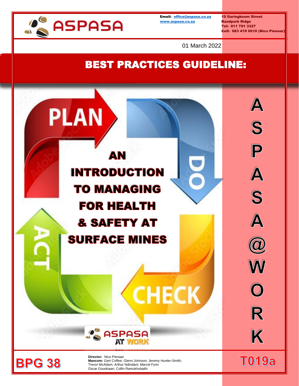

Email: [office@aspasa.co.za](mailto:office@aspasa.co.za) 10 Garingboom Street [www.aspasa.co.za](http://www.aspasa.co.za/) Randpark Ridge

Tel: 011 791 3327 Cell: 083 419 0010 (Nico Pienaar)

01 March 2022

# BEST PRACTICES GUIDELINE:

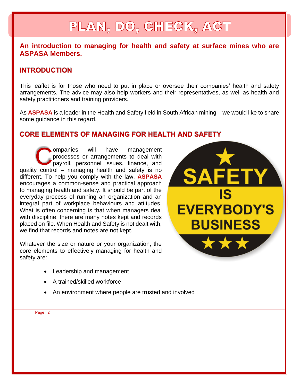# PLAN, DO, CHECK, ACT

## **An introduction to managing for health and safety at surface mines who are ASPASA Members.**

## **INTRODUCTION**

This leaflet is for those who need to put in place or oversee their companies' health and safety arrangements. The advice may also help workers and their representatives, as well as health and safety practitioners and training providers.

As **ASPASA** is a leader in the Health and Safety field in South African mining – we would like to share some guidance in this regard.

## **CORE ELEMENTS OF MANAGING FOR HEALTH AND SAFETY**

ompanies will have management processes or arrangements to deal with payroll, personnel issues, finance, and ompanies will have management processes or arrangements to deal with payroll, personnel issues, finance, and quality control – managing health and safety is no different. To help you comply with the law, **ASPASA** encourages a common-sense and practical approach to managing health and safety. It should be part of the everyday process of running an organization and an integral part of workplace behaviours and attitudes. What is often concerning is that when managers deal with discipline, there are many notes kept and records placed on file. When Health and Safety is not dealt with, we find that records and notes are not kept.

Whatever the size or nature or your organization, the core elements to effectively managing for health and safety are:

- Leadership and management
- A trained/skilled workforce
- An environment where people are trusted and involved

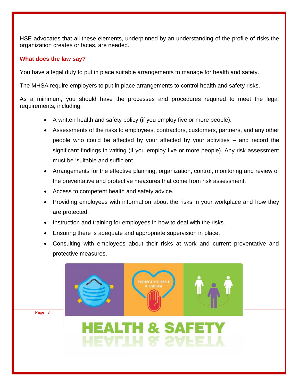HSE advocates that all these elements, underpinned by an understanding of the profile of risks the organization creates or faces, are needed.

### **What does the law say?**

You have a legal duty to put in place suitable arrangements to manage for health and safety.

The MHSA require employers to put in place arrangements to control health and safety risks.

As a minimum, you should have the processes and procedures required to meet the legal requirements, including:

- A written health and safety policy (if you employ five or more people).
- Assessments of the risks to employees, contractors, customers, partners, and any other people who could be affected by your affected by your activities – and record the significant findings in writing (if you employ five or more people). Any risk assessment must be 'suitable and sufficient.
- Arrangements for the effective planning, organization, control, monitoring and review of the preventative and protective measures that come from risk assessment.
- Access to competent health and safety advice.
- Providing employees with information about the risks in your workplace and how they are protected.
- Instruction and training for employees in how to deal with the risks.
- Ensuring there is adequate and appropriate supervision in place.
- Consulting with employees about their risks at work and current preventative and protective measures.

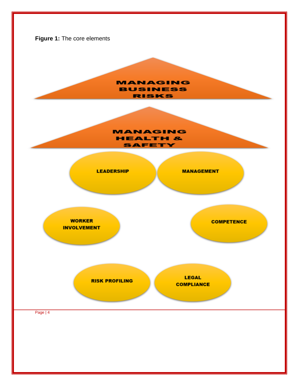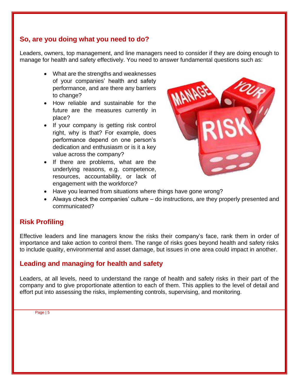## **So, are you doing what you need to do?**

Leaders, owners, top management, and line managers need to consider if they are doing enough to manage for health and safety effectively. You need to answer fundamental questions such as:

- What are the strengths and weaknesses of your companies' health and safety performance, and are there any barriers to change?
- How reliable and sustainable for the future are the measures currently in place?
- If your company is getting risk control right, why is that? For example, does performance depend on one person's dedication and enthusiasm or is it a key value across the company?
- If there are problems, what are the underlying reasons, e.g. competence, resources, accountability, or lack of engagement with the workforce?



- Have you learned from situations where things have gone wrong?
- Always check the companies' culture do instructions, are they properly presented and communicated?

## **Risk Profiling**

Effective leaders and line managers know the risks their company's face, rank them in order of importance and take action to control them. The range of risks goes beyond health and safety risks to include quality, environmental and asset damage, but issues in one area could impact in another.

## **Leading and managing for health and safety**

Leaders, at all levels, need to understand the range of health and safety risks in their part of the company and to give proportionate attention to each of them. This applies to the level of detail and effort put into assessing the risks, implementing controls, supervising, and monitoring.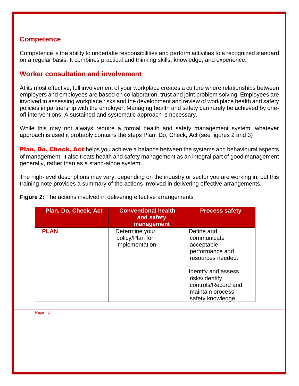## **Competence**

Competence is the ability to undertake responsibilities and perform activities to a recognized standard on a regular basis. It combines practical and thinking skills, knowledge, and experience.

## **Worker consultation and involvement**

At its most effective, full involvement of your workplace creates a culture where relationships between employers and employees are based on collaboration, trust and joint problem solving. Employees are involved in assessing workplace risks and the development and review of workplace health and safety policies in partnership with the employer. Managing health and safety can rarely be achieved by oneoff interventions. A sustained and systematic approach is necessary.

While this may not always require a formal health and safety management system, whatever approach is used it probably contains the steps Plan, Do, Check, Act (see figures 2 and 3)

**Plan, Do, Check, Act** helps you achieve a balance between the systems and behavioural aspects of management. It also treats health and safety management as an integral part of good management generally, rather than as a stand-alone system.

The high-level descriptions may vary, depending on the industry or sector you are working in, but this training note provides a summary of the actions involved in delivering effective arrangements.

| Plan, Do, Check, Act | <b>Conventional health</b><br>and safety<br>management | <b>Process safety</b>                                                                                |
|----------------------|--------------------------------------------------------|------------------------------------------------------------------------------------------------------|
| <b>PLAN</b>          | Determine your<br>policy/Plan for<br>implementation    | Define and<br>communicate<br>acceptable<br>performance and<br>resources needed.                      |
|                      |                                                        | Identify and assess<br>risks/identify<br>controls/Record and<br>maintain process<br>safety knowledge |

**Figure 2:** The actions involved in delivering effective arrangements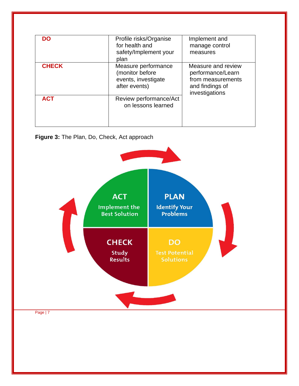| <b>DO</b>    | Profile risks/Organise<br>for health and<br>safety/Implement your<br>plan      | Implement and<br>manage control<br>measures                                                       |
|--------------|--------------------------------------------------------------------------------|---------------------------------------------------------------------------------------------------|
| <b>CHECK</b> | Measure performance<br>(monitor before<br>events, investigate<br>after events) | Measure and review<br>performance/Learn<br>from measurements<br>and findings of<br>investigations |
| <b>ACT</b>   | Review performance/Act<br>on lessons learned                                   |                                                                                                   |

### **Figure 3:** The Plan, Do, Check, Act approach

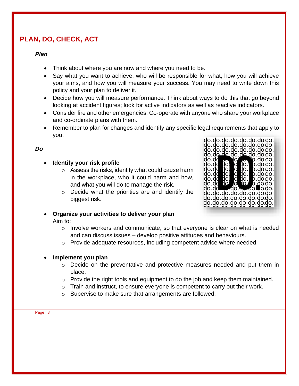## **PLAN, DO, CHECK, ACT**

#### *Plan*

- Think about where you are now and where you need to be.
- Say what you want to achieve, who will be responsible for what, how you will achieve your aims, and how you will measure your success. You may need to write down this policy and your plan to deliver it.
- Decide how you will measure performance. Think about ways to do this that go beyond looking at accident figures; look for active indicators as well as reactive indicators.
- Consider fire and other emergencies. Co-operate with anyone who share your workplace and co-ordinate plans with them.
- Remember to plan for changes and identify any specific legal requirements that apply to you.

### *Do*

### • **Identify your risk profile**

- o Assess the risks, identify what could cause harm in the workplace, who it could harm and how, and what you will do to manage the risk.
- o Decide what the priorities are and identify the biggest risk.



## • **Organize your activities to deliver your plan**

#### Aim to:

- $\circ$  Involve workers and communicate, so that everyone is clear on what is needed and can discuss issues – develop positive attitudes and behaviours.
- $\circ$  Provide adequate resources, including competent advice where needed.

#### • **Implement you plan**

- o Decide on the preventative and protective measures needed and put them in place.
- o Provide the right tools and equipment to do the job and keep them maintained.
- $\circ$  Train and instruct, to ensure everyone is competent to carry out their work.
- o Supervise to make sure that arrangements are followed.